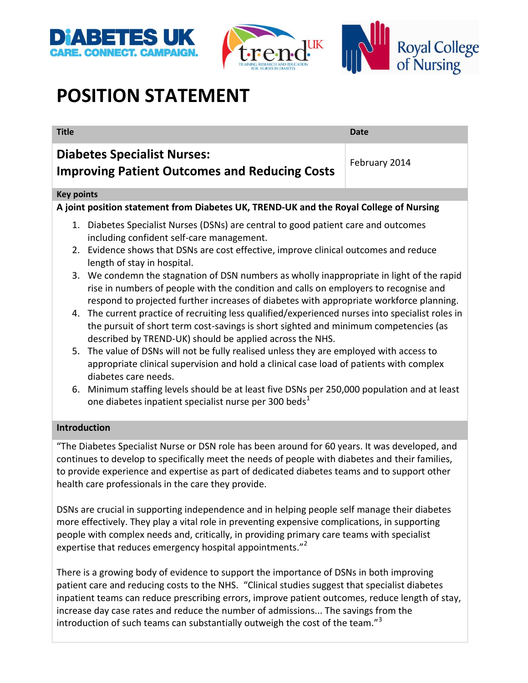



# **POSITION STATEMENT**

| <b>Title</b>                                                                                                                                                                                                                                                                                                                                                         | <b>Date</b>   |
|----------------------------------------------------------------------------------------------------------------------------------------------------------------------------------------------------------------------------------------------------------------------------------------------------------------------------------------------------------------------|---------------|
| <b>Diabetes Specialist Nurses:</b><br><b>Improving Patient Outcomes and Reducing Costs</b>                                                                                                                                                                                                                                                                           | February 2014 |
| <b>Key points</b>                                                                                                                                                                                                                                                                                                                                                    |               |
| A joint position statement from Diabetes UK, TREND-UK and the Royal College of Nursing                                                                                                                                                                                                                                                                               |               |
| 1. Diabetes Specialist Nurses (DSNs) are central to good patient care and outcomes<br>including confident self-care management.                                                                                                                                                                                                                                      |               |
| 2. Evidence shows that DSNs are cost effective, improve clinical outcomes and reduce<br>length of stay in hospital.                                                                                                                                                                                                                                                  |               |
| 3. We condemn the stagnation of DSN numbers as wholly inappropriate in light of the rapid<br>rise in numbers of people with the condition and calls on employers to recognise and<br>respond to projected further increases of diabetes with appropriate workforce planning.                                                                                         |               |
| The current practice of recruiting less qualified/experienced nurses into specialist roles in<br>4.<br>the pursuit of short term cost-savings is short sighted and minimum competencies (as<br>described by TREND-UK) should be applied across the NHS.                                                                                                              |               |
| The value of DSNs will not be fully realised unless they are employed with access to<br>5.<br>appropriate clinical supervision and hold a clinical case load of patients with complex<br>diabetes care needs.                                                                                                                                                        |               |
| 6. Minimum staffing levels should be at least five DSNs per 250,000 population and at least<br>one diabetes inpatient specialist nurse per 300 beds <sup>1</sup>                                                                                                                                                                                                     |               |
| <b>Introduction</b>                                                                                                                                                                                                                                                                                                                                                  |               |
| "The Diabetes Specialist Nurse or DSN role has been around for 60 years. It was developed, and<br>continues to develop to specifically meet the needs of people with diabetes and their families,<br>to provide experience and expertise as part of dedicated diabetes teams and to support other<br>health care professionals in the care they provide.             |               |
| DSNs are crucial in supporting independence and in helping people self manage their diabetes<br>more effectively. They play a vital role in preventing expensive complications, in supporting<br>people with complex needs and, critically, in providing primary care teams with specialist<br>expertise that reduces emergency hospital appointments." <sup>2</sup> |               |

There is a growing body of evidence to support the importance of DSNs in both improving patient care and reducing costs to the NHS. "Clinical studies suggest that specialist diabetes inpatient teams can reduce prescribing errors, improve patient outcomes, reduce length of stay, increase day case rates and reduce the number of admissions... The savings from the introduction of such teams can substantially outweigh the cost of the team."<sup>3</sup>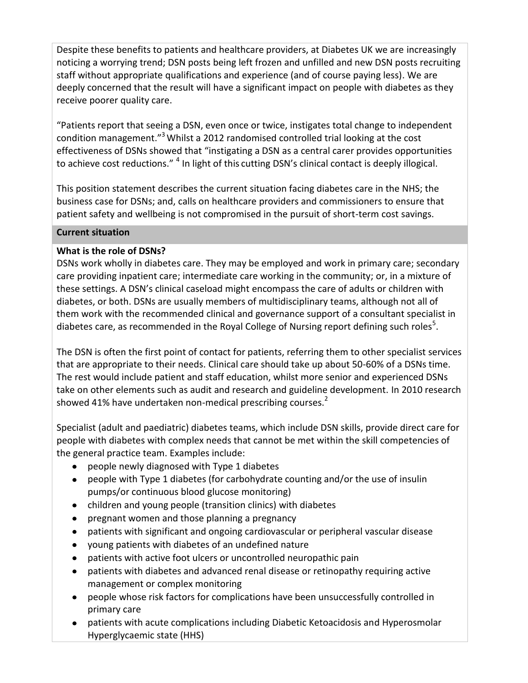Despite these benefits to patients and healthcare providers, at Diabetes UK we are increasingly noticing a worrying trend; DSN posts being left frozen and unfilled and new DSN posts recruiting staff without appropriate qualifications and experience (and of course paying less). We are deeply concerned that the result will have a significant impact on people with diabetes as they receive poorer quality care.

"Patients report that seeing a DSN, even once or twice, instigates total change to independent condition management."<sup>3</sup> Whilst a 2012 randomised controlled trial looking at the cost effectiveness of DSNs showed that "instigating a DSN as a central carer provides opportunities to achieve cost reductions." <sup>4</sup> In light of this cutting DSN's clinical contact is deeply illogical.

This position statement describes the current situation facing diabetes care in the NHS; the business case for DSNs; and, calls on healthcare providers and commissioners to ensure that patient safety and wellbeing is not compromised in the pursuit of short-term cost savings.

#### **Current situation**

# **What is the role of DSNs?**

DSNs work wholly in diabetes care. They may be employed and work in primary care; secondary care providing inpatient care; intermediate care working in the community; or, in a mixture of these settings. A DSN's clinical caseload might encompass the care of adults or children with diabetes, or both. DSNs are usually members of multidisciplinary teams, although not all of them work with the recommended clinical and governance support of a consultant specialist in diabetes care, as recommended in the Royal College of Nursing report defining such roles<sup>5</sup>.

The DSN is often the first point of contact for patients, referring them to other specialist services that are appropriate to their needs. Clinical care should take up about 50-60% of a DSNs time. The rest would include patient and staff education, whilst more senior and experienced DSNs take on other elements such as audit and research and guideline development. In 2010 research showed 41% have undertaken non-medical prescribing courses. $2$ 

Specialist (adult and paediatric) diabetes teams, which include DSN skills, provide direct care for people with diabetes with complex needs that cannot be met within the skill competencies of the general practice team. Examples include:

- people newly diagnosed with Type 1 diabetes
- people with Type 1 diabetes (for carbohydrate counting and/or the use of insulin pumps/or continuous blood glucose monitoring)
- children and young people (transition clinics) with diabetes
- pregnant women and those planning a pregnancy
- patients with significant and ongoing cardiovascular or peripheral vascular disease
- young patients with diabetes of an undefined nature
- patients with active foot ulcers or uncontrolled neuropathic pain
- patients with diabetes and advanced renal disease or retinopathy requiring active management or complex monitoring
- people whose risk factors for complications have been unsuccessfully controlled in primary care
- patients with acute complications including Diabetic Ketoacidosis and Hyperosmolar Hyperglycaemic state (HHS)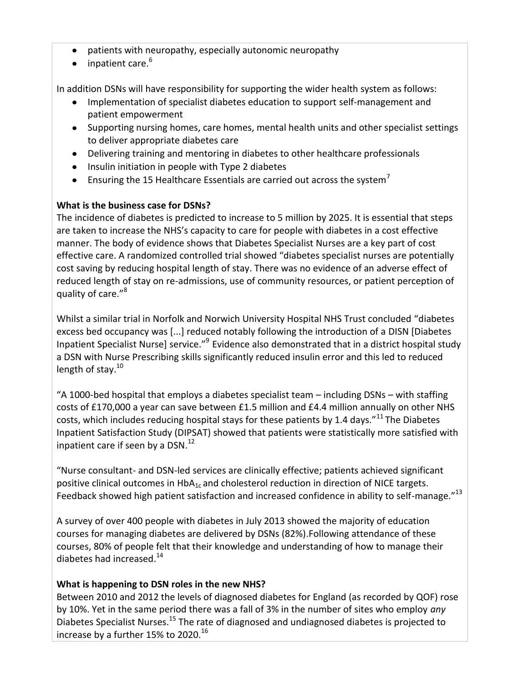- patients with neuropathy, especially autonomic neuropathy  $\bullet$
- $\bullet$  inpatient care.<sup>6</sup>

In addition DSNs will have responsibility for supporting the wider health system as follows:

- Implementation of specialist diabetes education to support self-management and patient empowerment
- Supporting nursing homes, care homes, mental health units and other specialist settings to deliver appropriate diabetes care
- Delivering training and mentoring in diabetes to other healthcare professionals
- Insulin initiation in people with Type 2 diabetes
- **Ensuring the 15 Healthcare Essentials are carried out across the system**<sup>7</sup>

## **What is the business case for DSNs?**

The incidence of diabetes is predicted to increase to 5 million by 2025. It is essential that steps are taken to increase the NHS's capacity to care for people with diabetes in a cost effective manner. The body of evidence shows that Diabetes Specialist Nurses are a key part of cost effective care. A randomized controlled trial showed "diabetes specialist nurses are potentially cost saving by reducing hospital length of stay. There was no evidence of an adverse effect of reduced length of stay on re-admissions, use of community resources, or patient perception of quality of care."<sup>8</sup>

Whilst a similar trial in Norfolk and Norwich University Hospital NHS Trust concluded "diabetes excess bed occupancy was [...] reduced notably following the introduction of a DISN [Diabetes Inpatient Specialist Nurse] service."<sup>9</sup> Evidence also demonstrated that in a district hospital study a DSN with Nurse Prescribing skills significantly reduced insulin error and this led to reduced length of stay.<sup>10</sup>

"A 1000-bed hospital that employs a diabetes specialist team – including DSNs – with staffing costs of £170,000 a year can save between £1.5 million and £4.4 million annually on other NHS costs, which includes reducing hospital stays for these patients by 1.4 days."<sup>11</sup> The Diabetes Inpatient Satisfaction Study (DIPSAT) showed that patients were statistically more satisfied with inpatient care if seen by a  $DSN.<sup>12</sup>$ 

"Nurse consultant- and DSN-led services are clinically effective; patients achieved significant positive clinical outcomes in  $HbA_{1c}$  and cholesterol reduction in direction of NICE targets. Feedback showed high patient satisfaction and increased confidence in ability to self-manage."<sup>13</sup>

A survey of over 400 people with diabetes in July 2013 showed the majority of education courses for managing diabetes are delivered by DSNs (82%).Following attendance of these courses, 80% of people felt that their knowledge and understanding of how to manage their diabetes had increased.<sup>14</sup>

# **What is happening to DSN roles in the new NHS?**

Between 2010 and 2012 the levels of diagnosed diabetes for England (as recorded by QOF) rose by 10%. Yet in the same period there was a fall of 3% in the number of sites who employ *any* Diabetes Specialist Nurses.<sup>15</sup> The rate of diagnosed and undiagnosed diabetes is projected to increase by a further 15% to 2020. $^{16}$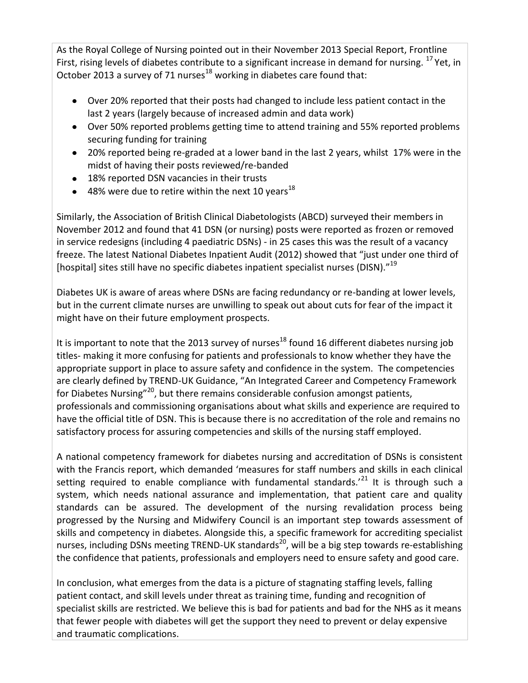As the Royal College of Nursing pointed out in their November 2013 Special Report, Frontline First, rising levels of diabetes contribute to a significant increase in demand for nursing. <sup>17</sup> Yet, in October 2013 a survey of 71 nurses<sup>18</sup> working in diabetes care found that:

- Over 20% reported that their posts had changed to include less patient contact in the last 2 years (largely because of increased admin and data work)
- Over 50% reported problems getting time to attend training and 55% reported problems securing funding for training
- 20% reported being re-graded at a lower band in the last 2 years, whilst 17% were in the  $\bullet$ midst of having their posts reviewed/re-banded
- 18% reported DSN vacancies in their trusts
- $\bullet$  48% were due to retire within the next 10 years<sup>18</sup>

Similarly, the Association of British Clinical Diabetologists (ABCD) surveyed their members in November 2012 and found that 41 DSN (or nursing) posts were reported as frozen or removed in service redesigns (including 4 paediatric DSNs) - in 25 cases this was the result of a vacancy freeze. The latest National Diabetes Inpatient Audit (2012) showed that "just under one third of [hospital] sites still have no specific diabetes inpatient specialist nurses (DISN)."<sup>19</sup>

Diabetes UK is aware of areas where DSNs are facing redundancy or re-banding at lower levels, but in the current climate nurses are unwilling to speak out about cuts for fear of the impact it might have on their future employment prospects.

It is important to note that the 2013 survey of nurses<sup>18</sup> found 16 different diabetes nursing job titles- making it more confusing for patients and professionals to know whether they have the appropriate support in place to assure safety and confidence in the system. The competencies are clearly defined by TREND-UK Guidance, "An Integrated Career and Competency Framework for Diabetes Nursing"<sup>20</sup>, but there remains considerable confusion amongst patients, professionals and commissioning organisations about what skills and experience are required to have the official title of DSN. This is because there is no accreditation of the role and remains no satisfactory process for assuring competencies and skills of the nursing staff employed.

A national competency framework for diabetes nursing and accreditation of DSNs is consistent with the Francis report, which demanded 'measures for staff numbers and skills in each clinical setting required to enable compliance with fundamental standards.<sup>'21</sup> It is through such a system, which needs national assurance and implementation, that patient care and quality standards can be assured. The development of the nursing revalidation process being progressed by the Nursing and Midwifery Council is an important step towards assessment of skills and competency in diabetes. Alongside this, a specific framework for accrediting specialist nurses, including DSNs meeting TREND-UK standards<sup>20</sup>, will be a big step towards re-establishing the confidence that patients, professionals and employers need to ensure safety and good care.

In conclusion, what emerges from the data is a picture of stagnating staffing levels, falling patient contact, and skill levels under threat as training time, funding and recognition of specialist skills are restricted. We believe this is bad for patients and bad for the NHS as it means that fewer people with diabetes will get the support they need to prevent or delay expensive and traumatic complications.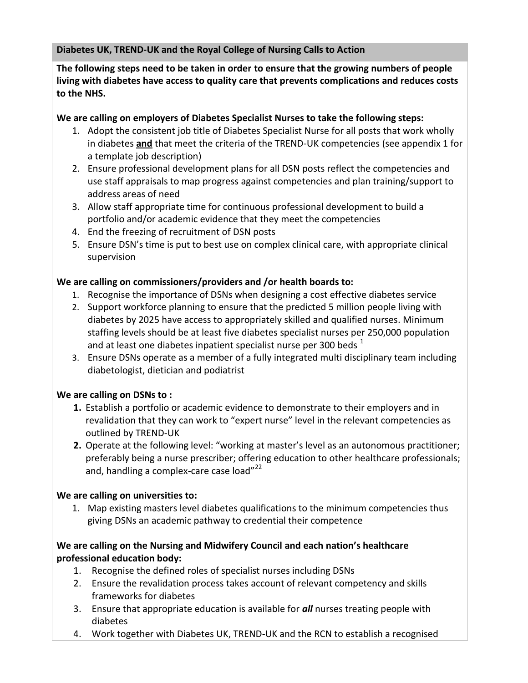**Diabetes UK, TREND-UK and the Royal College of Nursing Calls to Action**

**The following steps need to be taken in order to ensure that the growing numbers of people living with diabetes have access to quality care that prevents complications and reduces costs to the NHS.**

## **We are calling on employers of Diabetes Specialist Nurses to take the following steps:**

- 1. Adopt the consistent job title of Diabetes Specialist Nurse for all posts that work wholly in diabetes **and** that meet the criteria of the TREND-UK competencies (see appendix 1 for a template job description)
- 2. Ensure professional development plans for all DSN posts reflect the competencies and use staff appraisals to map progress against competencies and plan training/support to address areas of need
- 3. Allow staff appropriate time for continuous professional development to build a portfolio and/or academic evidence that they meet the competencies
- 4. End the freezing of recruitment of DSN posts
- 5. Ensure DSN's time is put to best use on complex clinical care, with appropriate clinical supervision

## **We are calling on commissioners/providers and /or health boards to:**

- 1. Recognise the importance of DSNs when designing a cost effective diabetes service
- 2. Support workforce planning to ensure that the predicted 5 million people living with diabetes by 2025 have access to appropriately skilled and qualified nurses. Minimum staffing levels should be at least five diabetes specialist nurses per 250,000 population and at least one diabetes inpatient specialist nurse per 300 beds  $^1$
- 3. Ensure DSNs operate as a member of a fully integrated multi disciplinary team including diabetologist, dietician and podiatrist

# **We are calling on DSNs to :**

- **1.** Establish a portfolio or academic evidence to demonstrate to their employers and in revalidation that they can work to "expert nurse" level in the relevant competencies as outlined by TREND-UK
- **2.** Operate at the following level: "working at master's level as an autonomous practitioner; preferably being a nurse prescriber; offering education to other healthcare professionals; and, handling a complex-care case load"<sup>22</sup>

# **We are calling on universities to:**

1. Map existing masters level diabetes qualifications to the minimum competencies thus giving DSNs an academic pathway to credential their competence

## **We are calling on the Nursing and Midwifery Council and each nation's healthcare professional education body:**

- 1. Recognise the defined roles of specialist nurses including DSNs
- 2. Ensure the revalidation process takes account of relevant competency and skills frameworks for diabetes
- 3. Ensure that appropriate education is available for *all* nurses treating people with diabetes
- 4. Work together with Diabetes UK, TREND-UK and the RCN to establish a recognised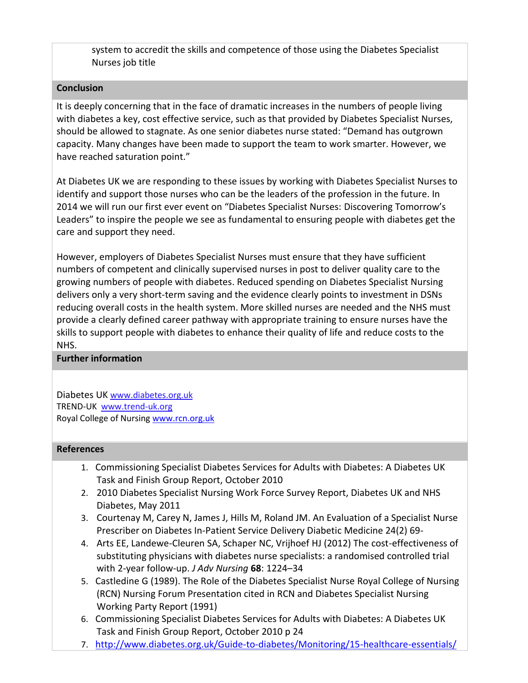system to accredit the skills and competence of those using the Diabetes Specialist Nurses job title

#### **Conclusion**

It is deeply concerning that in the face of dramatic increases in the numbers of people living with diabetes a key, cost effective service, such as that provided by Diabetes Specialist Nurses, should be allowed to stagnate. As one senior diabetes nurse stated: "Demand has outgrown capacity. Many changes have been made to support the team to work smarter. However, we have reached saturation point."

At Diabetes UK we are responding to these issues by working with Diabetes Specialist Nurses to identify and support those nurses who can be the leaders of the profession in the future. In 2014 we will run our first ever event on "Diabetes Specialist Nurses: Discovering Tomorrow's Leaders" to inspire the people we see as fundamental to ensuring people with diabetes get the care and support they need.

However, employers of Diabetes Specialist Nurses must ensure that they have sufficient numbers of competent and clinically supervised nurses in post to deliver quality care to the growing numbers of people with diabetes. Reduced spending on Diabetes Specialist Nursing delivers only a very short-term saving and the evidence clearly points to investment in DSNs reducing overall costs in the health system. More skilled nurses are needed and the NHS must provide a clearly defined career pathway with appropriate training to ensure nurses have the skills to support people with diabetes to enhance their quality of life and reduce costs to the NHS.

#### **Further information**

Diabetes UK [www.diabetes.org.uk](http://www.diabetes.org.uk/) TREND-UK [www.trend-uk.org](http://www.trend-uk.org/) Royal College of Nursin[g www.rcn.org.uk](http://www.rcn.org.uk/)

#### **References**

- 1. Commissioning Specialist Diabetes Services for Adults with Diabetes: A Diabetes UK Task and Finish Group Report, October 2010
- 2. 2010 Diabetes Specialist Nursing Work Force Survey Report, Diabetes UK and NHS Diabetes, May 2011
- 3. Courtenay M, Carey N, James J, Hills M, Roland JM. An Evaluation of a Specialist Nurse Prescriber on Diabetes In-Patient Service Delivery Diabetic Medicine 24(2) 69-
- 4. Arts EE, Landewe-Cleuren SA, Schaper NC, Vrijhoef HJ (2012) The cost-effectiveness of substituting physicians with diabetes nurse specialists: a randomised controlled trial with 2-year follow-up. *J Adv Nursing* **68**: 1224–34
- 5. Castledine G (1989). The Role of the Diabetes Specialist Nurse Royal College of Nursing (RCN) Nursing Forum Presentation cited in RCN and Diabetes Specialist Nursing Working Party Report (1991)
- 6. Commissioning Specialist Diabetes Services for Adults with Diabetes: A Diabetes UK Task and Finish Group Report, October 2010 p 24
- 7. <http://www.diabetes.org.uk/Guide-to-diabetes/Monitoring/15-healthcare-essentials/>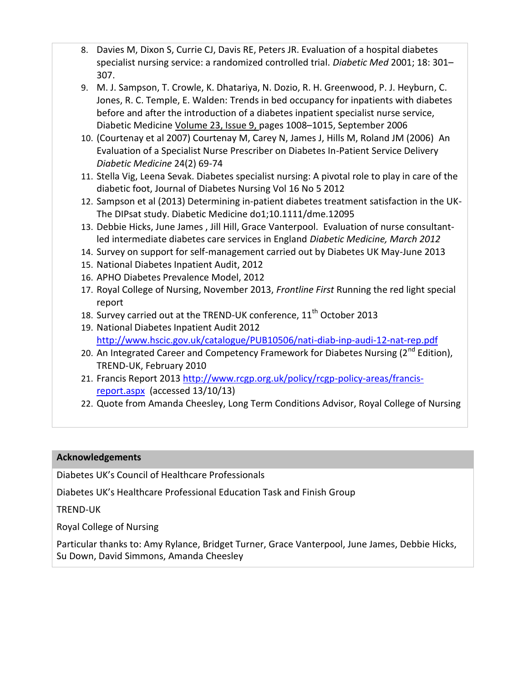- 8. Davies M, Dixon S, Currie CJ, Davis RE, Peters JR. Evaluation of a hospital diabetes specialist nursing service: a randomized controlled trial. *Diabetic Med* 2001; 18: 301– 307.
- 9. M. J. Sampson, T. Crowle, K. Dhatariya, N. Dozio, R. H. Greenwood, P. J. Heyburn, C. Jones, R. C. Temple, E. Walden: Trends in bed occupancy for inpatients with diabetes before and after the introduction of a diabetes inpatient specialist nurse service, Diabetic Medicine [Volume 23, Issue 9, p](http://onlinelibrary.wiley.com/doi/10.1111/dme.2006.23.issue-9/issuetoc)ages 1008–1015, September 2006
- 10. (Courtenay et al 2007) Courtenay M, Carey N, James J, Hills M, Roland JM (2006) An Evaluation of a Specialist Nurse Prescriber on Diabetes In-Patient Service Delivery *Diabetic Medicine* 24(2) 69-74
- 11. Stella Vig, Leena Sevak. Diabetes specialist nursing: A pivotal role to play in care of the diabetic foot, Journal of Diabetes Nursing Vol 16 No 5 2012
- 12. Sampson et al (2013) Determining in-patient diabetes treatment satisfaction in the UK-The DIPsat study. Diabetic Medicine do1;10.1111/dme.12095
- 13. Debbie Hicks, June James , Jill Hill, Grace Vanterpool. Evaluation of nurse consultantled intermediate diabetes care services in England *Diabetic Medicine, March 2012*
- 14. Survey on support for self-management carried out by Diabetes UK May-June 2013
- 15. National Diabetes Inpatient Audit, 2012
- 16. APHO Diabetes Prevalence Model, 2012
- 17. Royal College of Nursing, November 2013, *Frontline First* Running the red light special report
- 18. Survey carried out at the TREND-UK conference,  $11<sup>th</sup>$  October 2013
- 19. National Diabetes Inpatient Audit 2012 <http://www.hscic.gov.uk/catalogue/PUB10506/nati-diab-inp-audi-12-nat-rep.pdf>
- 20. An Integrated Career and Competency Framework for Diabetes Nursing  $(2^{nd}$  Edition), TREND-UK, February 2010
- 21. Francis Report 2013 [http://www.rcgp.org.uk/policy/rcgp-policy-areas/francis](http://www.rcgp.org.uk/policy/rcgp-policy-areas/francis-report.aspx)[report.aspx](http://www.rcgp.org.uk/policy/rcgp-policy-areas/francis-report.aspx) (accessed 13/10/13)
- 22. Quote from Amanda Cheesley, Long Term Conditions Advisor, Royal College of Nursing

# **Acknowledgements**

Diabetes UK's Council of Healthcare Professionals

Diabetes UK's Healthcare Professional Education Task and Finish Group

TREND-UK

Royal College of Nursing

Particular thanks to: Amy Rylance, Bridget Turner, Grace Vanterpool, June James, Debbie Hicks, Su Down, David Simmons, Amanda Cheesley